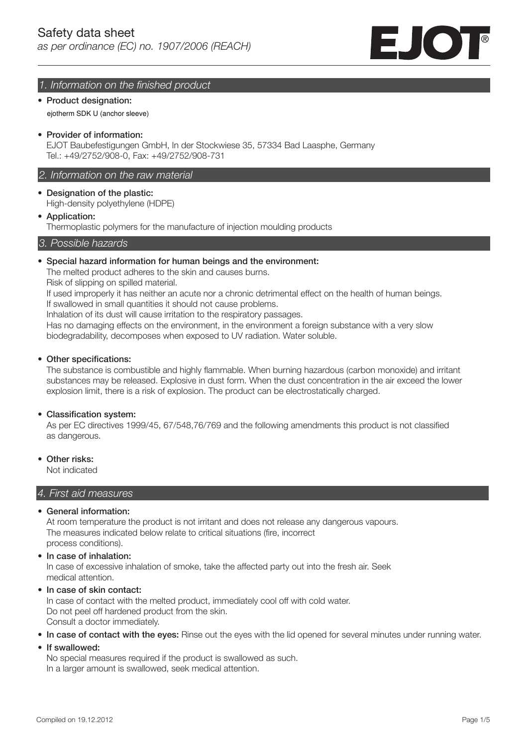

## 1. Information on the finished product

• Product designation:

ejotherm SDK U (anchor sleeve)

• Provider of information:

 EJOT Baubefestigungen GmbH, In der Stockwiese 35, 57334 Bad Laasphe, Germany Tel.: +49/2752/908-0, Fax: +49/2752/908-731

### 2. Information on the raw material

- Designation of the plastic: High-density polyethylene (HDPE)
- Application:

Thermoplastic polymers for the manufacture of injection moulding products

#### 3. Possible hazards

### • Special hazard information for human beings and the environment:

The melted product adheres to the skin and causes burns.

Risk of slipping on spilled material.

If used improperly it has neither an acute nor a chronic detrimental effect on the health of human beings.

If swallowed in small quantities it should not cause problems.

Inhalation of its dust will cause irritation to the respiratory passages.

 Has no damaging effects on the environment, in the environment a foreign substance with a very slow biodegradability, decomposes when exposed to UV radiation. Water soluble.

#### • Other specifications:

The substance is combustible and highly flammable. When burning hazardous (carbon monoxide) and irritant substances may be released. Explosive in dust form. When the dust concentration in the air exceed the lower explosion limit, there is a risk of explosion. The product can be electrostatically charged.

#### • Classification system:

As per EC directives 1999/45, 67/548,76/769 and the following amendments this product is not classified as dangerous.

• Other risks:

Not indicated

## 4. First aid measures

## • General information:

At room temperature the product is not irritant and does not release any dangerous vapours. The measures indicated below relate to critical situations (fire, incorrect process conditions).

• In case of inhalation:

 In case of excessive inhalation of smoke, take the affected party out into the fresh air. Seek medical attention.

• In case of skin contact:

 In case of contact with the melted product, immediately cool off with cold water. Do not peel off hardened product from the skin. Consult a doctor immediately.

• In case of contact with the eyes: Rinse out the eyes with the lid opened for several minutes under running water.

## • If swallowed:

 No special measures required if the product is swallowed as such. In a larger amount is swallowed, seek medical attention.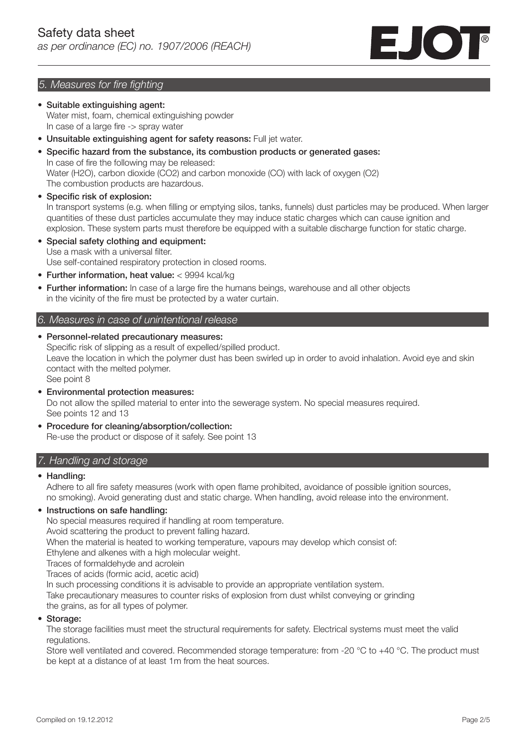

## 5. Measures for fire fighting

- Suitable extinguishing agent: Water mist, foam, chemical extinguishing powder In case of a large fire  $\rightarrow$  spray water
- Unsuitable extinguishing agent for safety reasons: Full jet water.
- Specific hazard from the substance, its combustion products or generated gases: In case of fire the following may be released: Water (H2O), carbon dioxide (CO2) and carbon monoxide (CO) with lack of oxygen (O2) The combustion products are hazardous.
- Specific risk of explosion:

In transport systems (e.g. when filling or emptying silos, tanks, funnels) dust particles may be produced. When larger quantities of these dust particles accumulate they may induce static charges which can cause ignition and explosion. These system parts must therefore be equipped with a suitable discharge function for static charge.

- Special safety clothing and equipment: Use a mask with a universal filter. Use self-contained respiratory protection in closed rooms.
- Further information, heat value: < 9994 kcal/kg
- Further information: In case of a large fire the humans beings, warehouse and all other objects in the vicinity of the fire must be protected by a water curtain.

## 6. Measures in case of unintentional release

- Personnel-related precautionary measures: Specific risk of slipping as a result of expelled/spilled product. Leave the location in which the polymer dust has been swirled up in order to avoid inhalation. Avoid eye and skin contact with the melted polymer. See point 8
- Environmental protection measures: Do not allow the spilled material to enter into the sewerage system. No special measures required. See points 12 and 13
- Procedure for cleaning/absorption/collection: Re-use the product or dispose of it safely. See point 13

## 7. Handling and storage

#### • Handling:

Adhere to all fire safety measures (work with open flame prohibited, avoidance of possible ignition sources, no smoking). Avoid generating dust and static charge. When handling, avoid release into the environment.

#### • Instructions on safe handling:

No special measures required if handling at room temperature.

Avoid scattering the product to prevent falling hazard.

When the material is heated to working temperature, vapours may develop which consist of:

Ethylene and alkenes with a high molecular weight.

Traces of formaldehyde and acrolein

Traces of acids (formic acid, acetic acid)

In such processing conditions it is advisable to provide an appropriate ventilation system.

 Take precautionary measures to counter risks of explosion from dust whilst conveying or grinding the grains, as for all types of polymer.

#### • Storage:

 The storage facilities must meet the structural requirements for safety. Electrical systems must meet the valid regulations.

 Store well ventilated and covered. Recommended storage temperature: from -20 °C to +40 °C. The product must be kept at a distance of at least 1m from the heat sources.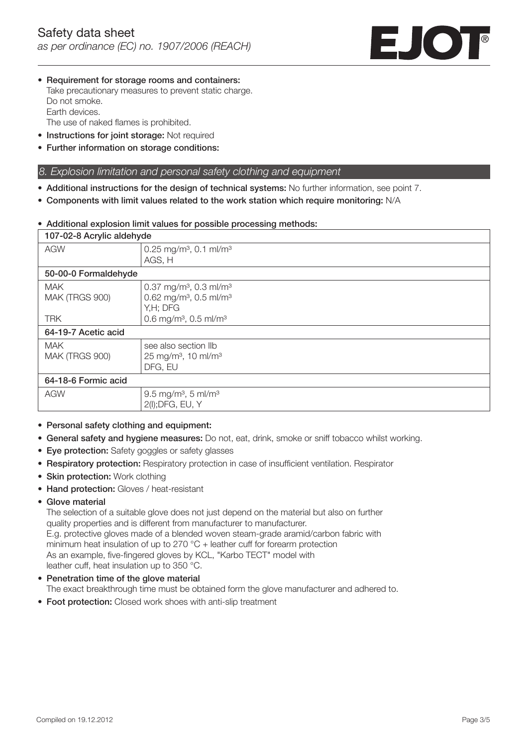

• Requirement for storage rooms and containers: Take precautionary measures to prevent static charge. Do not smoke. Earth devices. The use of naked flames is prohibited.

• Instructions for joint storage: Not required

• Further information on storage conditions:

### 8. Explosion limitation and personal safety clothing and equipment

- Additional instructions for the design of technical systems: No further information, see point 7.
- Components with limit values related to the work station which require monitoring: N/A

#### • Additional explosion limit values for possible processing methods:

| 107-02-8 Acrylic aldehyde |                                                |  |
|---------------------------|------------------------------------------------|--|
| <b>AGW</b>                | 0.25 mg/m <sup>3</sup> , 0.1 ml/m <sup>3</sup> |  |
|                           | AGS, H                                         |  |
| 50-00-0 Formaldehyde      |                                                |  |
| <b>MAK</b>                | 0.37 mg/m <sup>3</sup> , 0.3 ml/m <sup>3</sup> |  |
| MAK (TRGS 900)            | 0.62 mg/m <sup>3</sup> , 0.5 ml/m <sup>3</sup> |  |
|                           | Y,H; DFG                                       |  |
| <b>TRK</b>                | 0.6 mg/m <sup>3</sup> , 0.5 ml/m <sup>3</sup>  |  |
| 64-19-7 Acetic acid       |                                                |  |
| <b>MAK</b>                | see also section IIb                           |  |
| MAK (TRGS 900)            | 25 mg/m <sup>3</sup> , 10 ml/m <sup>3</sup>    |  |
|                           | DFG, EU                                        |  |
| 64-18-6 Formic acid       |                                                |  |
| <b>AGW</b>                | 9.5 mg/m <sup>3</sup> , 5 ml/m <sup>3</sup>    |  |
|                           | 2(I); DFG, EU, Y                               |  |

- Personal safety clothing and equipment:
- General safety and hygiene measures: Do not, eat, drink, smoke or sniff tobacco whilst working.
- Eye protection: Safety goggles or safety glasses
- Respiratory protection: Respiratory protection in case of insufficient ventilation. Respirator
- Skin protection: Work clothing
- Hand protection: Gloves / heat-resistant
- Glove material

 The selection of a suitable glove does not just depend on the material but also on further quality properties and is different from manufacturer to manufacturer. E.g. protective gloves made of a blended woven steam-grade aramid/carbon fabric with minimum heat insulation of up to 270 °C + leather cuff for forearm protection As an example, five-fingered gloves by KCL, "Karbo TECT" model with leather cuff, heat insulation up to 350 °C.

- Penetration time of the glove material The exact breakthrough time must be obtained form the glove manufacturer and adhered to.
- Foot protection: Closed work shoes with anti-slip treatment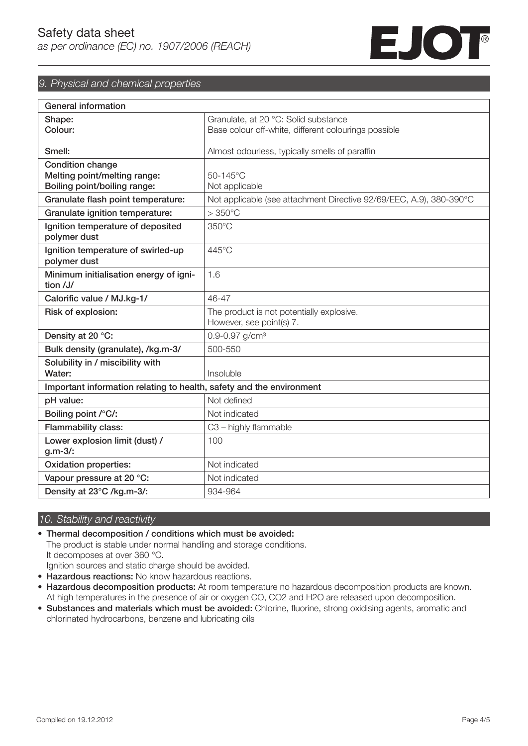

# 9. Physical and chemical properties

| General information                                                  |                                                                       |  |  |
|----------------------------------------------------------------------|-----------------------------------------------------------------------|--|--|
| Shape:                                                               | Granulate, at 20 °C: Solid substance                                  |  |  |
| Colour:                                                              | Base colour off-white, different colourings possible                  |  |  |
|                                                                      |                                                                       |  |  |
| Smell:                                                               | Almost odourless, typically smells of paraffin                        |  |  |
| <b>Condition change</b>                                              |                                                                       |  |  |
| Melting point/melting range:                                         | 50-145°C                                                              |  |  |
| Boiling point/boiling range:                                         | Not applicable                                                        |  |  |
| Granulate flash point temperature:                                   | Not applicable (see attachment Directive 92/69/EEC, A.9), 380-390°C   |  |  |
| Granulate ignition temperature:                                      | $>350^{\circ}$ C                                                      |  |  |
| Ignition temperature of deposited<br>polymer dust                    | $350^{\circ}$ C                                                       |  |  |
| Ignition temperature of swirled-up<br>polymer dust                   | 445°C                                                                 |  |  |
| Minimum initialisation energy of igni-<br>tion /J/                   | 1.6                                                                   |  |  |
| Calorific value / MJ.kg-1/                                           | 46-47                                                                 |  |  |
| Risk of explosion:                                                   | The product is not potentially explosive.<br>However, see point(s) 7. |  |  |
| Density at 20 °C:                                                    | 0.9-0.97 $g/cm3$                                                      |  |  |
| Bulk density (granulate), /kg.m-3/                                   | 500-550                                                               |  |  |
| Solubility in / miscibility with                                     |                                                                       |  |  |
| Water:                                                               | Insoluble                                                             |  |  |
| Important information relating to health, safety and the environment |                                                                       |  |  |
| pH value:                                                            | Not defined                                                           |  |  |
| Boiling point /°C/:                                                  | Not indicated                                                         |  |  |
| <b>Flammability class:</b>                                           | C3 - highly flammable                                                 |  |  |
| Lower explosion limit (dust) /<br>$g.m-3/2$                          | 100                                                                   |  |  |
| <b>Oxidation properties:</b>                                         | Not indicated                                                         |  |  |
| Vapour pressure at 20 °C:                                            | Not indicated                                                         |  |  |
| Density at 23°C /kg.m-3/:                                            | 934-964                                                               |  |  |

## 10. Stability and reactivity

### • Thermal decomposition / conditions which must be avoided:

The product is stable under normal handling and storage conditions. It decomposes at over 360 °C.

Ignition sources and static charge should be avoided.

- Hazardous reactions: No know hazardous reactions.
- Hazardous decomposition products: At room temperature no hazardous decomposition products are known. At high temperatures in the presence of air or oxygen CO, CO2 and H2O are released upon decomposition.
- Substances and materials which must be avoided: Chlorine, fluorine, strong oxidising agents, aromatic and chlorinated hydrocarbons, benzene and lubricating oils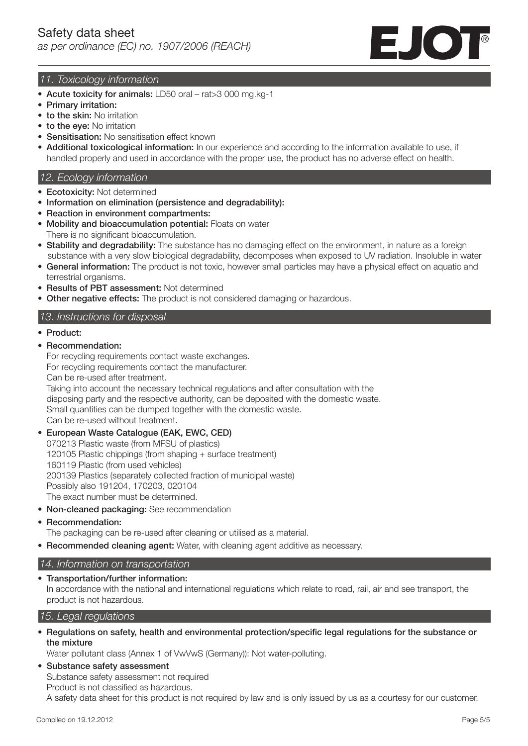

# 11. Toxicology information

- Acute toxicity for animals: LD50 oral rat>3 000 mg.kg-1
- Primary irritation:
- to the skin: No irritation
- to the eye: No irritation
- Sensitisation: No sensitisation effect known
- Additional toxicological information: In our experience and according to the information available to use, if handled properly and used in accordance with the proper use, the product has no adverse effect on health.

# 12. Ecology information

- Ecotoxicity: Not determined
- Information on elimination (persistence and degradability):
- Reaction in environment compartments:
- Mobility and bioaccumulation potential: Floats on water There is no significant bioaccumulation.
- Stability and degradability: The substance has no damaging effect on the environment, in nature as a foreign substance with a very slow biological degradability, decomposes when exposed to UV radiation. Insoluble in water
- General information: The product is not toxic, however small particles may have a physical effect on aquatic and terrestrial organisms.
- Results of PBT assessment: Not determined
- Other negative effects: The product is not considered damaging or hazardous.

# 13. Instructions for disposal

- Product:
- Recommendation:

For recycling requirements contact waste exchanges. For recycling requirements contact the manufacturer.

Can be re-used after treatment.

 Taking into account the necessary technical regulations and after consultation with the disposing party and the respective authority, can be deposited with the domestic waste. Small quantities can be dumped together with the domestic waste. Can be re-used without treatment.

# • European Waste Catalogue (EAK, EWC, CED)

070213 Plastic waste (from MFSU of plastics) 120105 Plastic chippings (from shaping + surface treatment) 160119 Plastic (from used vehicles) 200139 Plastics (separately collected fraction of municipal waste) Possibly also 191204, 170203, 020104 The exact number must be determined.

• Non-cleaned packaging: See recommendation

## • Recommendation:

The packaging can be re-used after cleaning or utilised as a material.

• Recommended cleaning agent: Water, with cleaning agent additive as necessary.

# 14. Information on transportation

• Transportation/further information:

In accordance with the national and international regulations which relate to road, rail, air and see transport, the product is not hazardous.

# 15. Legal regulations

• Regulations on safety, health and environmental protection/specific legal regulations for the substance or the mixture

Water pollutant class (Annex 1 of VwVwS (Germany)): Not water-polluting.

• Substance safety assessment Substance safety assessment not required Product is not classified as hazardous. A safety data sheet for this product is not required by law and is only issued by us as a courtesy for our customer.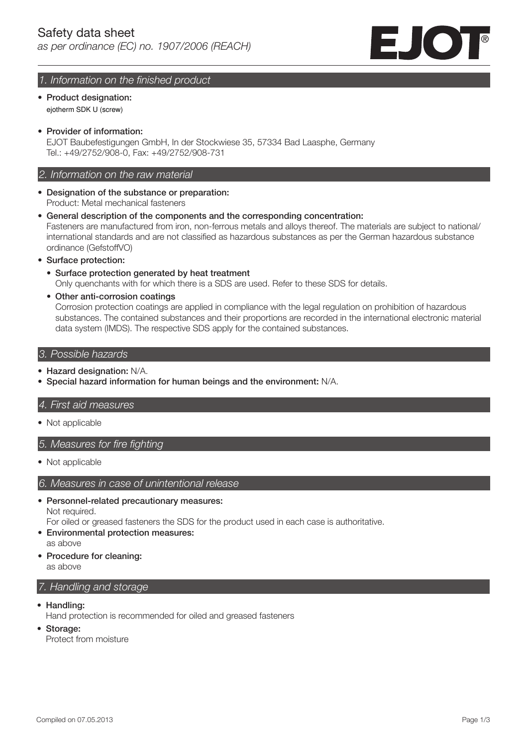

## 1. Information on the finished product

- Product designation: ejotherm SDK U (screw)
- Provider of information:

 EJOT Baubefestigungen GmbH, In der Stockwiese 35, 57334 Bad Laasphe, Germany Tel.: +49/2752/908-0, Fax: +49/2752/908-731

### 2. Information on the raw material

- Designation of the substance or preparation: Product: Metal mechanical fasteners
- General description of the components and the corresponding concentration: Fasteners are manufactured from iron, non-ferrous metals and alloys thereof. The materials are subject to national/ international standards and are not classified as hazardous substances as per the German hazardous substance ordinance (GefstoffVO)
- Surface protection:
	- Surface protection generated by heat treatment Only quenchants with for which there is a SDS are used. Refer to these SDS for details.
	- Other anti-corrosion coatings

Corrosion protection coatings are applied in compliance with the legal regulation on prohibition of hazardous substances. The contained substances and their proportions are recorded in the international electronic material data system (IMDS). The respective SDS apply for the contained substances.

### 3. Possible hazards

- Hazard designation: N/A.
- Special hazard information for human beings and the environment: N/A.

#### 4. First aid measures

• Not applicable

## 5. Measures for fire fighting

• Not applicable

## 6. Measures in case of unintentional release

• Personnel-related precautionary measures:

Not required.

For oiled or greased fasteners the SDS for the product used in each case is authoritative.

- Environmental protection measures:
- as above
- Procedure for cleaning:

as above

# 7. Handling and storage

• Handling:

Hand protection is recommended for oiled and greased fasteners

• Storage:

Protect from moisture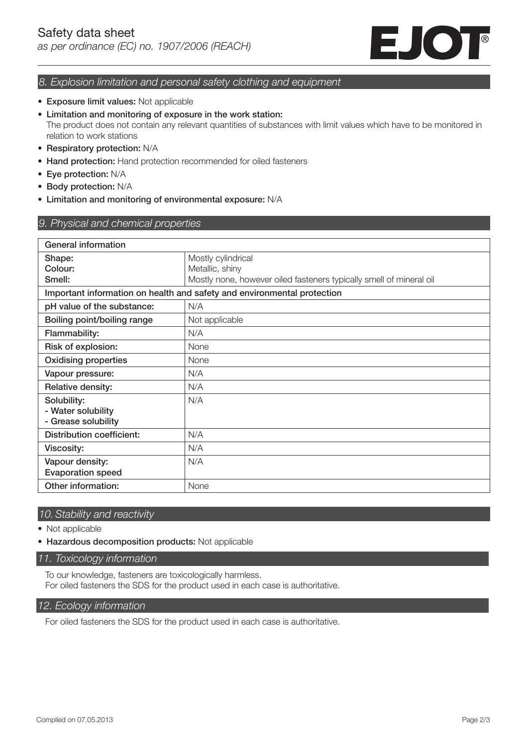

## 8. Explosion limitation and personal safety clothing and equipment

- Exposure limit values: Not applicable
- Limitation and monitoring of exposure in the work station: The product does not contain any relevant quantities of substances with limit values which have to be monitored in relation to work stations
- Respiratory protection: N/A
- Hand protection: Hand protection recommended for oiled fasteners
- Eye protection: N/A
- Body protection: N/A
- Limitation and monitoring of environmental exposure: N/A

## 9. Physical and chemical properties

| General information                                                     |                                                                     |  |
|-------------------------------------------------------------------------|---------------------------------------------------------------------|--|
| Shape:<br>Colour:                                                       | Mostly cylindrical<br>Metallic, shiny                               |  |
| Smell:                                                                  | Mostly none, however oiled fasteners typically smell of mineral oil |  |
| Important information on health and safety and environmental protection |                                                                     |  |
| pH value of the substance:                                              | N/A                                                                 |  |
| Boiling point/boiling range                                             | Not applicable                                                      |  |
| Flammability:                                                           | N/A                                                                 |  |
| Risk of explosion:                                                      | None                                                                |  |
| <b>Oxidising properties</b>                                             | None                                                                |  |
| Vapour pressure:                                                        | N/A                                                                 |  |
| Relative density:                                                       | N/A                                                                 |  |
| Solubility:<br>- Water solubility<br>- Grease solubility                | N/A                                                                 |  |
| Distribution coefficient:                                               | N/A                                                                 |  |
| <b>Viscosity:</b>                                                       | N/A                                                                 |  |
| Vapour density:<br><b>Evaporation speed</b>                             | N/A                                                                 |  |
| Other information:                                                      | None                                                                |  |

### 10. Stability and reactivity

- Not applicable
- Hazardous decomposition products: Not applicable

#### 11. Toxicology information

To our knowledge, fasteners are toxicologically harmless. For oiled fasteners the SDS for the product used in each case is authoritative.

### 12. Ecology information

For oiled fasteners the SDS for the product used in each case is authoritative.